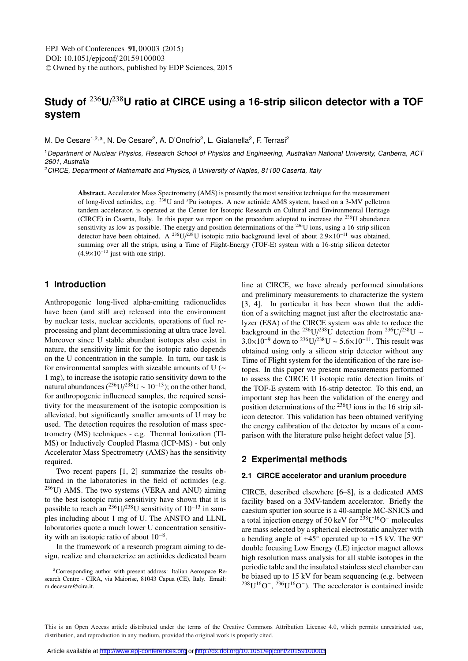# **Study of** <sup>236</sup>**U/**238**U ratio at CIRCE using a 16-strip silicon detector with a TOF system**

M. De Cesare<sup>1,2,a</sup>, N. De Cesare<sup>2</sup>, A. D'Onofrio<sup>2</sup>, L. Gialanella<sup>2</sup>, F. Terrasi<sup>2</sup>

<sup>1</sup> Department of Nuclear Physics, Research School of Physics and Engineering, Australian National University, Canberra, ACT 2601, Australia

<sup>2</sup>CIRCE, Department of Mathematic and Physics, II University of Naples, 81100 Caserta, Italy

Abstract. Accelerator Mass Spectrometry (AMS) is presently the most sensitive technique for the measurement of long-lived actinides, e.g. 236U and *<sup>x</sup>* Pu isotopes. A new actinide AMS system, based on a 3-MV pelletron tandem accelerator, is operated at the Center for Isotopic Research on Cultural and Environmental Heritage (CIRCE) in Caserta, Italy. In this paper we report on the procedure adopted to increase the <sup>236</sup>U abundance sensitivity as low as possible. The energy and position determinations of the 236U ions, using a 16-strip silicon detector have been obtained. A <sup>236</sup>U/<sup>238</sup>U isotopic ratio background level of about  $2.9 \times 10^{-11}$  was obtained, summing over all the strips, using a Time of Flight-Energy (TOF-E) system with a 16-strip silicon detector  $(4.9\times10^{-12}$  just with one strip).

## **1 Introduction**

Anthropogenic long-lived alpha-emitting radionuclides have been (and still are) released into the environment by nuclear tests, nuclear accidents, operations of fuel reprocessing and plant decommissioning at ultra trace level. Moreover since U stable abundant isotopes also exist in nature, the sensitivity limit for the isotopic ratio depends on the U concentration in the sample. In turn, our task is for environmental samples with sizeable amounts of U (∼ 1 mg), to increase the isotopic ratio sensitivity down to the natural abundances  $(^{236}U/^{238}U \sim 10^{-13})$ ; on the other hand, for anthropogenic influenced samples, the required sensitivity for the measurement of the isotopic composition is alleviated, but significantly smaller amounts of U may be used. The detection requires the resolution of mass spectrometry (MS) techniques - e.g. Thermal Ionization (TI-MS) or Inductively Coupled Plasma (ICP-MS) - but only Accelerator Mass Spectrometry (AMS) has the sensitivity required.

Two recent papers [1, 2] summarize the results obtained in the laboratories in the field of actinides (e.g. 236U) AMS. The two systems (VERA and ANU) aiming to the best isotopic ratio sensitivity have shown that it is possible to reach an <sup>236</sup>U/<sup>238</sup>U sensitivity of 10<sup>-13</sup> in samples including about 1 mg of U. The ANSTO and LLNL laboratories quote a much lower U concentration sensitivity with an isotopic ratio of about  $10^{-8}$ .

In the framework of a research program aiming to design, realize and characterize an actinides dedicated beam line at CIRCE, we have already performed simulations and preliminary measurements to characterize the system [3, 4]. In particular it has been shown that the addition of a switching magnet just after the electrostatic analyzer (ESA) of the CIRCE system was able to reduce the background in the <sup>236</sup>U/<sup>238</sup>U detection from <sup>236</sup>U/<sup>238</sup>U ~  $3.0\times10^{-9}$  down to <sup>236</sup>U/<sup>238</sup>U ~ 5.6×10<sup>-11</sup>. This result was obtained using only a silicon strip detector without any Time of Flight system for the identification of the rare isotopes. In this paper we present measurements performed to assess the CIRCE U isotopic ratio detection limits of the TOF-E system with 16-strip detector. To this end, an important step has been the validation of the energy and position determinations of the 236U ions in the 16 strip silicon detector. This validation has been obtained verifying the energy calibration of the detector by means of a comparison with the literature pulse height defect value [5].

## **2 Experimental methods**

#### **2.1 CIRCE accelerator and uranium procedure**

CIRCE, described elsewhere [6–8], is a dedicated AMS facility based on a 3MV-tandem accelerator. Briefly the caesium sputter ion source is a 40-sample MC-SNICS and a total injection energy of 50 keV for  $238$ U<sup>16</sup>O<sup>−</sup> molecules are mass selected by a spherical electrostatic analyzer with a bending angle of  $\pm 45^\circ$  operated up to  $\pm 15$  kV. The 90 $^\circ$ double focusing Low Energy (LE) injector magnet allows high resolution mass analysis for all stable isotopes in the periodic table and the insulated stainless steel chamber can be biased up to 15 kV for beam sequencing (e.g. between  $238$ U<sup>16</sup>O<sup>-</sup>,  $236$ U<sup>16</sup>O<sup>-</sup>). The accelerator is contained inside

aCorresponding author with present address: Italian Aerospace Research Centre - CIRA, via Maiorise, 81043 Capua (CE), Italy. Email: m.decesare@cira.it.

This is an Open Access article distributed under the terms of the Creative Commons Attribution License 4.0, which permits unrestricted use. distribution, and reproduction in any medium, provided the original work is properly cited.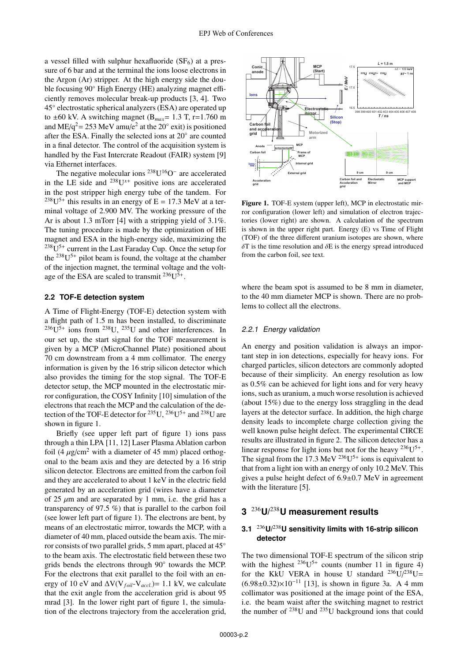a vessel filled with sulphur hexafluoride  $(SF_6)$  at a pressure of 6 bar and at the terminal the ions loose electrons in the Argon (Ar) stripper. At the high energy side the double focusing 90◦ High Energy (HE) analyzing magnet efficiently removes molecular break-up products [3, 4]. Two 45◦ electrostatic spherical analyzers (ESA) are operated up to  $\pm 60$  kV. A switching magnet (B<sub>max</sub>= 1.3 T, r=1.760 m and ME/q<sup>2</sup> = 253 MeV amu/e<sup>2</sup> at the 20 $\degree$  exit) is positioned after the ESA. Finally the selected ions at 20◦ are counted in a final detector. The control of the acquisition system is handled by the Fast Intercrate Readout (FAIR) system [9] via Ethernet interfaces.

The negative molecular ions 238U16O<sup>−</sup> are accelerated in the LE side and  $^{238}U^{x+}$  positive ions are accelerated in the post stripper high energy tube of the tandem. For  $^{238}U^{5+}$  this results in an energy of E = 17.3 MeV at a terminal voltage of 2.900 MV. The working pressure of the Ar is about 1.3 mTorr [4] with a stripping yield of 3.1%. The tuning procedure is made by the optimization of HE magnet and ESA in the high-energy side, maximizing the  $238U^{5+}$  current in the Last Faraday Cup. Once the setup for the  $238U^{5+}$  pilot beam is found, the voltage at the chamber of the injection magnet, the terminal voltage and the voltage of the ESA are scaled to transmit  $^{236}U^{5+}$ .

## **2.2 TOF-E detection system**

A Time of Flight-Energy (TOF-E) detection system with a flight path of 1.5 m has been installed, to discriminate  $236U^{5+}$  ions from  $238U$ ,  $235U$  and other interferences. In our set up, the start signal for the TOF measurement is given by a MCP (MicroChannel Plate) positioned about 70 cm downstream from a 4 mm collimator. The energy information is given by the 16 strip silicon detector which also provides the timing for the stop signal. The TOF-E detector setup, the MCP mounted in the electrostatic mirror configuration, the COSY Infinity [10] simulation of the electrons that reach the MCP and the calculation of the detection of the TOF-E detector for  $^{235}$ U,  $^{236}$ U<sup>5+</sup> and  $^{238}$ U are shown in figure 1.

Briefly (see upper left part of figure 1) ions pass through a thin LPA [11, 12] Laser Plasma Ablation carbon foil (4  $\mu$ g/cm<sup>2</sup> with a diameter of 45 mm) placed orthogonal to the beam axis and they are detected by a 16 strip silicon detector. Electrons are emitted from the carbon foil and they are accelerated to about 1 keV in the electric field generated by an acceleration grid (wires have a diameter of 25  $\mu$ m and are separated by 1 mm, i.e. the grid has a transparency of 97.5 %) that is parallel to the carbon foil (see lower left part of figure 1). The electrons are bent, by means of an electrostatic mirror, towards the MCP, with a diameter of 40 mm, placed outside the beam axis. The mirror consists of two parallel grids, 5 mm apart, placed at 45◦ to the beam axis. The electrostatic field between these two grids bends the electrons through 90◦ towards the MCP. For the electrons that exit parallel to the foil with an energy of 10 eV and  $\Delta V(V_{foil} - V_{accl.}) = 1.1$  kV, we calculate that the exit angle from the acceleration grid is about 95 mrad [3]. In the lower right part of figure 1, the simulation of the electrons trajectory from the acceleration grid,



Figure 1. TOF-E system (upper left), MCP in electrostatic mirror configuration (lower left) and simulation of electron trajectories (lower right) are shown. A calculation of the spectrum is shown in the upper right part. Energy (E) vs Time of Flight (TOF) of the three different uranium isotopes are shown, where  $\delta$ T is the time resolution and  $\delta$ E is the energy spread introduced from the carbon foil, see text.

where the beam spot is assumed to be 8 mm in diameter, to the 40 mm diameter MCP is shown. There are no problems to collect all the electrons.

#### 2.2.1 Energy validation

An energy and position validation is always an important step in ion detections, especially for heavy ions. For charged particles, silicon detectors are commonly adopted because of their simplicity. An energy resolution as low as 0.5% can be achieved for light ions and for very heavy ions, such as uranium, a much worse resolution is achieved (about 15%) due to the energy loss straggling in the dead layers at the detector surface. In addition, the high charge density leads to incomplete charge collection giving the well known pulse height defect. The experimental CIRCE results are illustrated in figure 2. The silicon detector has a linear response for light ions but not for the heavy  $^{236}U^{5+}$ . The signal from the 17.3 MeV  $^{236}U^{5+}$  ions is equivalent to that from a light ion with an energy of only 10.2 MeV. This gives a pulse height defect of 6.9±0.7 MeV in agreement with the literature [5].

## **3** <sup>236</sup>**U/**238**U measurement results**

## **3.1** <sup>236</sup>**U/**238**U sensitivity limits with 16-strip silicon detector**

The two dimensional TOF-E spectrum of the silicon strip with the highest  $236U^{5+}$  counts (number 11 in figure 4) for the KkU VERA in house U standard  $^{236}U/^{238}U=$  $(6.98\pm0.32)\times10^{-11}$  [13], is shown in figure 3a. A 4 mm collimator was positioned at the image point of the ESA, i.e. the beam waist after the switching magnet to restrict the number of  $^{238}$ U and  $^{235}$ U background ions that could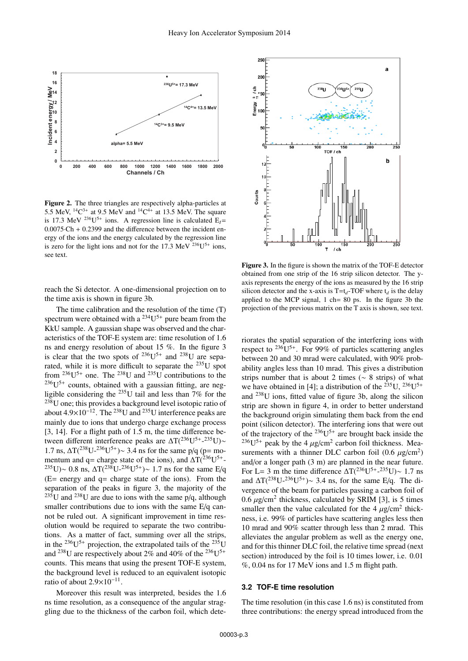

Figure 2. The three triangles are respectively alpha-particles at 5.5 MeV,  ${}^{14}C^{3+}$  at 9.5 MeV and  ${}^{14}C^{4+}$  at 13.5 MeV. The square is 17.3 MeV <sup>236</sup>U<sup>5+</sup> ions. A regression line is calculated  $E_1$ = 0.0075·Ch + 0.2399 and the difference between the incident energy of the ions and the energy calculated by the regression line is zero for the light ions and not for the 17.3 MeV  $236U^{5+}$  ions, see text.

reach the Si detector. A one-dimensional projection on to the time axis is shown in figure 3b.

The time calibration and the resolution of the time (T) spectrum were obtained with a  $^{234}U^{5+}$  pure beam from the KkU sample. A gaussian shape was observed and the characteristics of the TOF-E system are: time resolution of 1.6 ns and energy resolution of about 15 %. In the figure 3 is clear that the two spots of  $^{236}U^{5+}$  and  $^{238}U$  are separated, while it is more difficult to separate the 235U spot from  $^{236}U^{5+}$  one. The  $^{238}U$  and  $^{235}U$  contributions to the  $236U^{5+}$  counts, obtained with a gaussian fitting, are negligible considering the  $^{235}$ U tail and less than 7% for the  $238$ U one; this provides a background level isotopic ratio of about  $4.9\times10^{-12}$ . The <sup>238</sup>U and <sup>235</sup>U interference peaks are mainly due to ions that undergo charge exchange process [3, 14]. For a flight path of 1.5 m, the time difference between different interference peaks are  $\Delta T(^{236}U^{5+} - ^{235}U)$ ~ 1.7 ns,  $ΔT(^{238}U^{-236}U^{5+})$  ~ 3.4 ns for the same p/q (p= momentum and q= charge state of the ions), and  $\Delta T(^{236}U^{5+}$ -<sup>235</sup>U)∼ 0.8 ns,  $\Delta T^{(238}U^{-236}U^{5+})$ ∼ 1.7 ns for the same E/q (E= energy and q= charge state of the ions). From the separation of the peaks in figure 3, the majority of the <sup>235</sup>U and <sup>238</sup>U are due to ions with the same  $p/q$ , although smaller contributions due to ions with the same E/q cannot be ruled out. A significant improvement in time resolution would be required to separate the two contributions. As a matter of fact, summing over all the strips, in the <sup>236</sup>U<sup>5+</sup> projection, the extrapolated tails of the <sup>235</sup>U and <sup>238</sup>U are respectively about 2% and 40% of the <sup>236</sup>U<sup>5+</sup> counts. This means that using the present TOF-E system, the background level is reduced to an equivalent isotopic ratio of about  $2.9\times10^{-11}$ .

Moreover this result was interpreted, besides the 1.6 ns time resolution, as a consequence of the angular straggling due to the thickness of the carbon foil, which dete-



Figure 3. In the figure is shown the matrix of the TOF-E detector obtained from one strip of the 16 strip silicon detector. The yaxis represents the energy of the ions as measured by the 16 strip silicon detector and the x-axis is  $T=t_d$ -TOF where  $t_d$  is the delay applied to the MCP signal,  $1 \text{ ch} = 80 \text{ ps}$ . In the figure 3b the projection of the previous matrix on the T axis is shown, see text.

riorates the spatial separation of the interfering ions with respect to  $236$ U<sup>5+</sup>. For 99% of particles scattering angles between 20 and 30 mrad were calculated, with 90% probability angles less than 10 mrad. This gives a distribution strips number that is about 2 times ( $\sim$  8 strips) of what we have obtained in [4]; a distribution of the  $^{235}$ U,  $^{236}$ U<sup>5+</sup> and 238U ions, fitted value of figure 3b, along the silicon strip are shown in figure 4, in order to better understand the background origin simulating them back from the end point (silicon detector). The interfering ions that were out of the trajectory of the  $^{236}U^{5+}$  are brought back inside the  $^{236}U^{5+}$  peak by the 4  $\mu$ g/cm<sup>2</sup> carbon foil thickness. Measurements with a thinner DLC carbon foil  $(0.6 \mu g/cm^2)$ and/or a longer path (3 m) are planned in the near future. For L= 3 m the time difference  $\Delta T(^{236}U^{5+} - ^{235}U) \sim 1.7$  ns and  $\Delta T(^{238}U^{-236}U^{5+})$  ~ 3.4 ns, for the same E/q. The divergence of the beam for particles passing a carbon foil of 0.6  $\mu$ g/cm<sup>2</sup> thickness, calculated by SRIM [3], is 5 times smaller then the value calculated for the 4  $\mu$ g/cm<sup>2</sup> thickness, i.e. 99% of particles have scattering angles less then 10 mrad and 90% scatter through less than 2 mrad. This alleviates the angular problem as well as the energy one, and for this thinner DLC foil, the relative time spread (next section) introduced by the foil is 10 times lower, i.e. 0.01 %, 0.04 ns for 17 MeV ions and 1.5 m flight path.

#### **3.2 TOF-E time resolution**

The time resolution (in this case 1.6 ns) is constituted from three contributions: the energy spread introduced from the